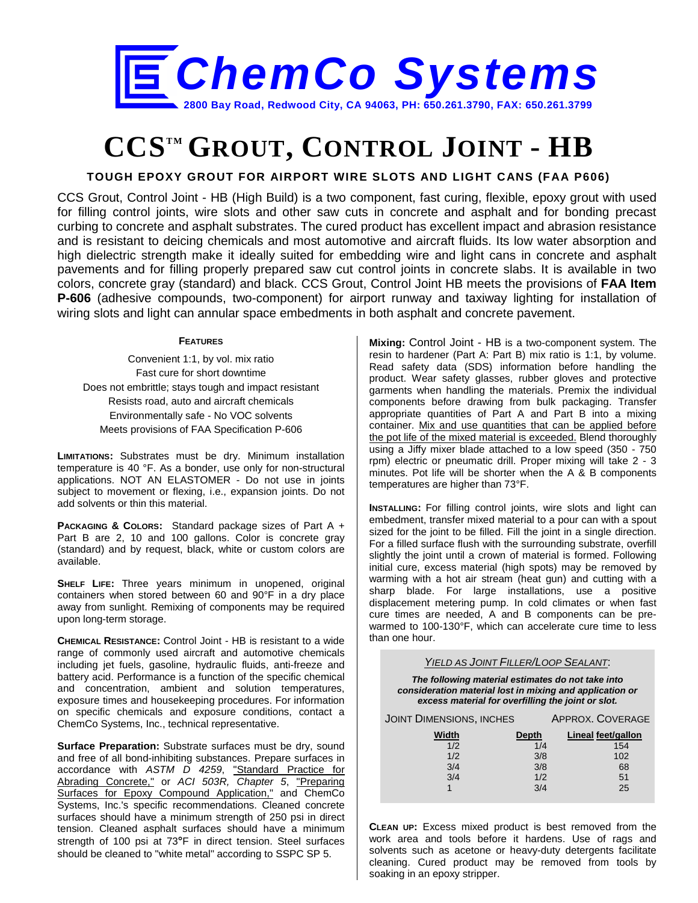

# **CCSTM GROUT, CONTROL JOINT - HB**

### **TOUGH EPOXY GROUT FOR AIRPORT WIRE SLOTS AND LIGHT CANS (FAA P606)**

CCS Grout, Control Joint - HB (High Build) is a two component, fast curing, flexible, epoxy grout with used for filling control joints, wire slots and other saw cuts in concrete and asphalt and for bonding precast curbing to concrete and asphalt substrates. The cured product has excellent impact and abrasion resistance and is resistant to deicing chemicals and most automotive and aircraft fluids. Its low water absorption and high dielectric strength make it ideally suited for embedding wire and light cans in concrete and asphalt pavements and for filling properly prepared saw cut control joints in concrete slabs. It is available in two colors, concrete gray (standard) and black. CCS Grout, Control Joint HB meets the provisions of **FAA Item P-606** (adhesive compounds, two-component) for airport runway and taxiway lighting for installation of wiring slots and light can annular space embedments in both asphalt and concrete pavement.

#### **FEATURES**

Convenient 1:1, by vol. mix ratio Fast cure for short downtime Does not embrittle; stays tough and impact resistant Resists road, auto and aircraft chemicals Environmentally safe - No VOC solvents Meets provisions of FAA Specification P-606

**LIMITATIONS:** Substrates must be dry. Minimum installation temperature is 40 °F. As a bonder, use only for non-structural applications. NOT AN ELASTOMER - Do not use in joints subject to movement or flexing, i.e., expansion joints. Do not add solvents or thin this material.

**PACKAGING & COLORS:** Standard package sizes of Part A + Part B are 2, 10 and 100 gallons. Color is concrete gray (standard) and by request, black, white or custom colors are available.

**SHELF LIFE:** Three years minimum in unopened, original containers when stored between 60 and 90°F in a dry place away from sunlight. Remixing of components may be required upon long-term storage.

**CHEMICAL RESISTANCE:** Control Joint - HB is resistant to a wide range of commonly used aircraft and automotive chemicals including jet fuels, gasoline, hydraulic fluids, anti-freeze and battery acid. Performance is a function of the specific chemical and concentration, ambient and solution temperatures, exposure times and housekeeping procedures. For information on specific chemicals and exposure conditions, contact a ChemCo Systems, Inc., technical representative.

**Surface Preparation:** Substrate surfaces must be dry, sound and free of all bond-inhibiting substances. Prepare surfaces in accordance with *ASTM D 4259*, "Standard Practice for Abrading Concrete," or *ACI 503R, Chapter 5*, "Preparing Surfaces for Epoxy Compound Application," and ChemCo Systems, Inc.'s specific recommendations. Cleaned concrete surfaces should have a minimum strength of 250 psi in direct tension. Cleaned asphalt surfaces should have a minimum strength of 100 psi at 73**°**F in direct tension. Steel surfaces should be cleaned to "white metal" according to SSPC SP 5.

**Mixing:** Control Joint - HB is a two-component system. The resin to hardener (Part A: Part B) mix ratio is 1:1, by volume. Read safety data (SDS) information before handling the product. Wear safety glasses, rubber gloves and protective garments when handling the materials. Premix the individual components before drawing from bulk packaging. Transfer appropriate quantities of Part A and Part B into a mixing container. Mix and use quantities that can be applied before the pot life of the mixed material is exceeded. Blend thoroughly using a Jiffy mixer blade attached to a low speed (350 - 750 rpm) electric or pneumatic drill. Proper mixing will take 2 - 3 minutes. Pot life will be shorter when the  $A \times B$  components temperatures are higher than 73°F.

**INSTALLING:** For filling control joints, wire slots and light can embedment, transfer mixed material to a pour can with a spout sized for the joint to be filled. Fill the joint in a single direction. For a filled surface flush with the surrounding substrate, overfill slightly the joint until a crown of material is formed. Following initial cure, excess material (high spots) may be removed by warming with a hot air stream (heat gun) and cutting with a sharp blade. For large installations, use a positive displacement metering pump. In cold climates or when fast cure times are needed, A and B components can be prewarmed to 100-130°F, which can accelerate cure time to less than one hour.

*YIELD AS JOINT FILLER/LOOP SEALANT*:

*The following material estimates do not take into consideration material lost in mixing and application or excess material for overfilling the joint or slot.*

| <b>JOINT DIMENSIONS, INCHES</b> |              | APPROX. COVERAGE   |  |
|---------------------------------|--------------|--------------------|--|
| Width                           | <b>Depth</b> | Lineal feet/gallon |  |
| 1/2                             | 1/4          | 154                |  |
| 1/2                             | 3/8          | 102                |  |
| 3/4                             | 3/8          | 68                 |  |
| 3/4                             | 1/2          | 51                 |  |
|                                 | 3/4          | 25                 |  |
|                                 |              |                    |  |

**CLEAN UP:** Excess mixed product is best removed from the work area and tools before it hardens. Use of rags and solvents such as acetone or heavy-duty detergents facilitate cleaning. Cured product may be removed from tools by soaking in an epoxy stripper.